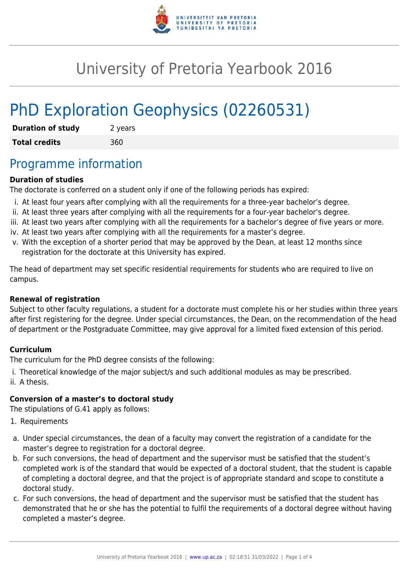

# University of Pretoria Yearbook 2016

# PhD Exploration Geophysics (02260531)

| <b>Duration of study</b> | 2 years |
|--------------------------|---------|
| <b>Total credits</b>     | 360     |

## Programme information

### **Duration of studies**

The doctorate is conferred on a student only if one of the following periods has expired:

- i. At least four years after complying with all the requirements for a three-year bachelor's degree.
- ii. At least three years after complying with all the requirements for a four-year bachelor's degree.
- iii. At least two years after complying with all the requirements for a bachelor's degree of five years or more.
- iv. At least two years after complying with all the requirements for a master's degree.
- v. With the exception of a shorter period that may be approved by the Dean, at least 12 months since registration for the doctorate at this University has expired.

The head of department may set specific residential requirements for students who are required to live on campus.

### **Renewal of registration**

Subject to other faculty regulations, a student for a doctorate must complete his or her studies within three years after first registering for the degree. Under special circumstances, the Dean, on the recommendation of the head of department or the Postgraduate Committee, may give approval for a limited fixed extension of this period.

### **Curriculum**

The curriculum for the PhD degree consists of the following:

i. Theoretical knowledge of the major subject/s and such additional modules as may be prescribed. ii. A thesis.

### **Conversion of a master's to doctoral study**

The stipulations of G.41 apply as follows:

- 1. Requirements
- a. Under special circumstances, the dean of a faculty may convert the registration of a candidate for the master's degree to registration for a doctoral degree.
- b. For such conversions, the head of department and the supervisor must be satisfied that the student's completed work is of the standard that would be expected of a doctoral student, that the student is capable of completing a doctoral degree, and that the project is of appropriate standard and scope to constitute a doctoral study.
- c. For such conversions, the head of department and the supervisor must be satisfied that the student has demonstrated that he or she has the potential to fulfil the requirements of a doctoral degree without having completed a master's degree.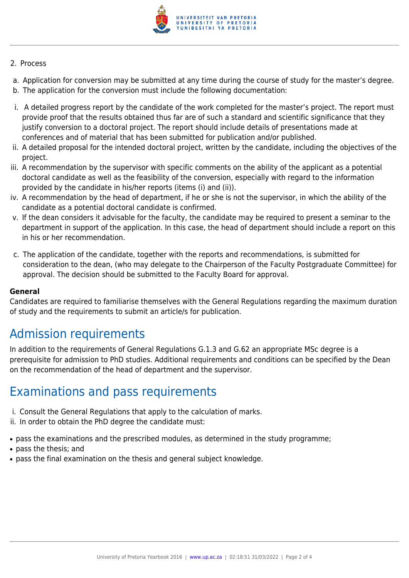

#### 2. Process

- a. Application for conversion may be submitted at any time during the course of study for the master's degree.
- b. The application for the conversion must include the following documentation:
- i. A detailed progress report by the candidate of the work completed for the master's project. The report must provide proof that the results obtained thus far are of such a standard and scientific significance that they justify conversion to a doctoral project. The report should include details of presentations made at conferences and of material that has been submitted for publication and/or published.
- ii. A detailed proposal for the intended doctoral project, written by the candidate, including the objectives of the project.
- iii. A recommendation by the supervisor with specific comments on the ability of the applicant as a potential doctoral candidate as well as the feasibility of the conversion, especially with regard to the information provided by the candidate in his/her reports (items (i) and (ii)).
- iv. A recommendation by the head of department, if he or she is not the supervisor, in which the ability of the candidate as a potential doctoral candidate is confirmed.
- v. If the dean considers it advisable for the faculty, the candidate may be required to present a seminar to the department in support of the application. In this case, the head of department should include a report on this in his or her recommendation.
- c. The application of the candidate, together with the reports and recommendations, is submitted for consideration to the dean, (who may delegate to the Chairperson of the Faculty Postgraduate Committee) for approval. The decision should be submitted to the Faculty Board for approval.

### **General**

Candidates are required to familiarise themselves with the General Regulations regarding the maximum duration of study and the requirements to submit an article/s for publication.

## Admission requirements

In addition to the requirements of General Regulations G.1.3 and G.62 an appropriate MSc degree is a prerequisite for admission to PhD studies. Additional requirements and conditions can be specified by the Dean on the recommendation of the head of department and the supervisor.

### Examinations and pass requirements

- i. Consult the General Regulations that apply to the calculation of marks.
- ii. In order to obtain the PhD degree the candidate must:
- pass the examinations and the prescribed modules, as determined in the study programme;
- pass the thesis: and
- pass the final examination on the thesis and general subject knowledge.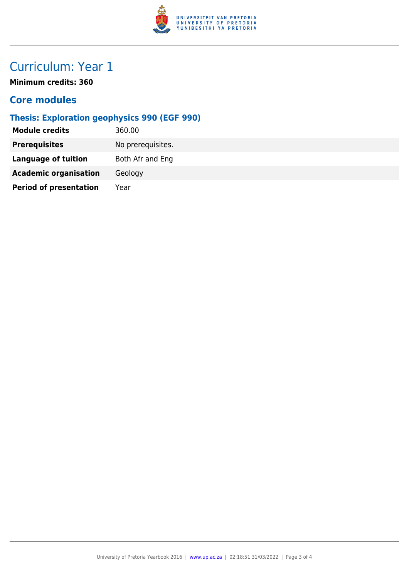

# Curriculum: Year 1

**Minimum credits: 360**

### **Core modules**

### **Thesis: Exploration geophysics 990 (EGF 990)**

| Module credits                | 360.00            |
|-------------------------------|-------------------|
| <b>Prerequisites</b>          | No prerequisites. |
| <b>Language of tuition</b>    | Both Afr and Eng  |
| <b>Academic organisation</b>  | Geology           |
| <b>Period of presentation</b> | Year              |